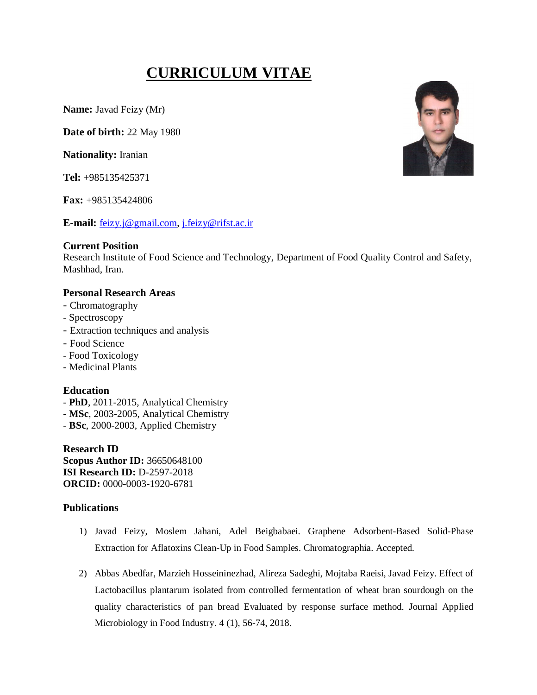# **CURRICULUM VITAE**

**Name:** Javad Feizy (Mr)

**Date of birth:** 22 May 1980

**Nationality:** Iranian

**Tel:** +985135425371

**Fax:** +985135424806

**E-mail:** feizy.j@gmail.com, j.feizy@rifst.ac.ir

## **Current Position**

Research Institute of Food Science and Technology, Department of Food Quality Control and Safety, Mashhad, Iran.

# **Personal Research Areas**

- Chromatography
- Spectroscopy
- Extraction techniques and analysis
- Food Science
- Food Toxicology
- Medicinal Plants

# **Education**

- **PhD**, 2011-2015, Analytical Chemistry
- **MSc**, 2003-2005, Analytical Chemistry
- **BSc**, 2000-2003, Applied Chemistry

**Research ID Scopus Author ID:** 36650648100 **ISI Research ID:** D-2597-2018 **ORCID:** 0000-0003-1920-6781

# **Publications**

- 1) Javad Feizy, Moslem Jahani, Adel Beigbabaei. Graphene Adsorbent-Based Solid-Phase Extraction for Aflatoxins Clean-Up in Food Samples. Chromatographia. Accepted.
- 2) Abbas Abedfar, Marzieh Hosseininezhad, Alireza Sadeghi, Mojtaba Raeisi, Javad Feizy. Effect of Lactobacillus plantarum isolated from controlled fermentation of wheat bran sourdough on the quality characteristics of pan bread Evaluated by response surface method. Journal Applied Microbiology in Food Industry. 4 (1), 56-74, 2018.

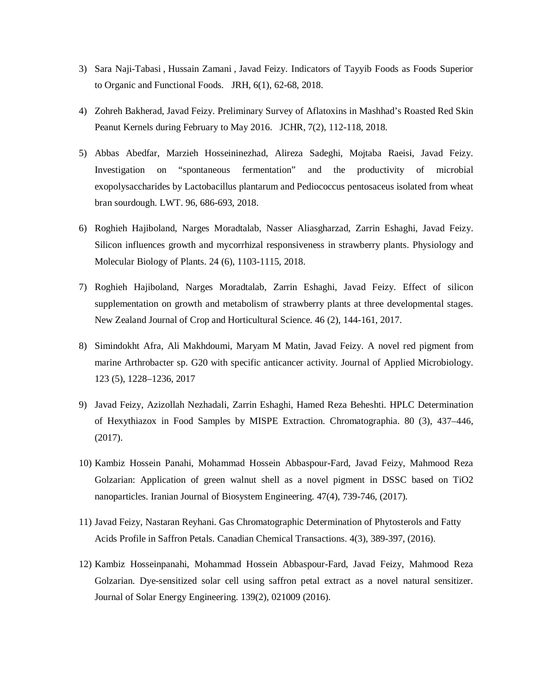- 3) Sara Naji-Tabasi , Hussain Zamani , Javad Feizy. Indicators of Tayyib Foods as Foods Superior to Organic and Functional Foods. JRH, 6(1), 62-68, 2018.
- 4) Zohreh Bakherad, Javad Feizy. Preliminary Survey of Aflatoxins in Mashhad's Roasted Red Skin Peanut Kernels during February to May 2016. JCHR, 7(2), 112-118, 2018.
- 5) Abbas Abedfar, Marzieh Hosseininezhad, Alireza Sadeghi, Mojtaba Raeisi, Javad Feizy. Investigation on "spontaneous fermentation" and the productivity of microbial exopolysaccharides by Lactobacillus plantarum and Pediococcus pentosaceus isolated from wheat bran sourdough. LWT. 96, 686-693, 2018.
- 6) Roghieh Hajiboland, Narges Moradtalab, Nasser Aliasgharzad, Zarrin Eshaghi, Javad Feizy. Silicon influences growth and mycorrhizal responsiveness in strawberry plants. Physiology and Molecular Biology of Plants. 24 (6), 1103-1115, 2018.
- 7) Roghieh Hajiboland, Narges Moradtalab, Zarrin Eshaghi, Javad Feizy. Effect of silicon supplementation on growth and metabolism of strawberry plants at three developmental stages. New Zealand Journal of Crop and Horticultural Science. 46 (2), 144-161, 2017.
- 8) Simindokht Afra, Ali Makhdoumi, Maryam M Matin, Javad Feizy. A novel red pigment from marine Arthrobacter sp. G20 with specific anticancer activity. Journal of Applied Microbiology. 123 (5), 1228–1236, 2017
- 9) Javad Feizy, Azizollah Nezhadali, Zarrin Eshaghi, Hamed Reza Beheshti. HPLC Determination of Hexythiazox in Food Samples by MISPE Extraction. Chromatographia. 80 (3), 437–446, (2017).
- 10) Kambiz Hossein Panahi, Mohammad Hossein Abbaspour-Fard, Javad Feizy, Mahmood Reza Golzarian: Application of green walnut shell as a novel pigment in DSSC based on TiO2 nanoparticles. Iranian Journal of Biosystem Engineering. 47(4), 739-746, (2017).
- 11) Javad Feizy, Nastaran Reyhani. Gas Chromatographic Determination of Phytosterols and Fatty Acids Profile in Saffron Petals. Canadian Chemical Transactions. 4(3), 389-397, (2016).
- 12) Kambiz Hosseinpanahi, Mohammad Hossein Abbaspour-Fard, Javad Feizy, Mahmood Reza Golzarian. Dye-sensitized solar cell using saffron petal extract as a novel natural sensitizer. Journal of Solar Energy Engineering. 139(2), 021009 (2016).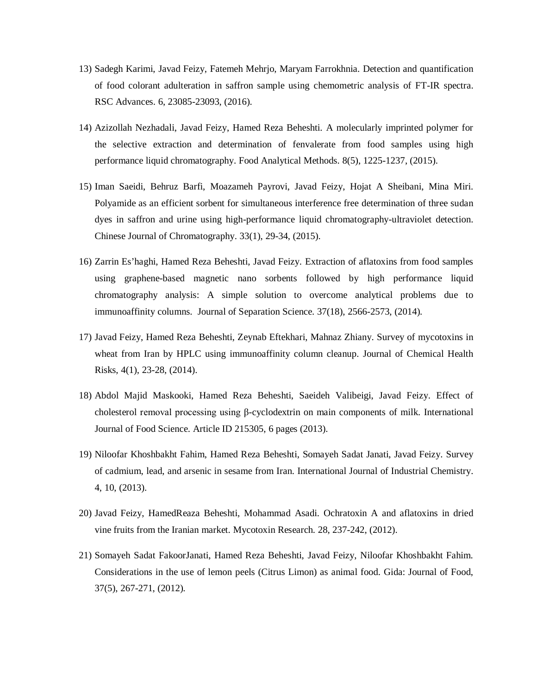- 13) Sadegh Karimi, Javad Feizy, Fatemeh Mehrjo, Maryam Farrokhnia. Detection and quantification of food colorant adulteration in saffron sample using chemometric analysis of FT-IR spectra. RSC Advances. 6, 23085-23093, (2016).
- 14) Azizollah Nezhadali, Javad Feizy, Hamed Reza Beheshti. A molecularly imprinted polymer for the selective extraction and determination of fenvalerate from food samples using high performance liquid chromatography. Food Analytical Methods. 8(5), 1225-1237, (2015).
- 15) Iman Saeidi, Behruz Barfi, Moazameh Payrovi, Javad Feizy, Hojat A Sheibani, Mina Miri. Polyamide as an efficient sorbent for simultaneous interference free determination of three sudan dyes in saffron and urine using high-performance liquid chromatography-ultraviolet detection. Chinese Journal of Chromatography. 33(1), 29-34, (2015).
- 16) Zarrin Es'haghi, Hamed Reza Beheshti, Javad Feizy. Extraction of aflatoxins from food samples using graphene-based magnetic nano sorbents followed by high performance liquid chromatography analysis: A simple solution to overcome analytical problems due to immunoaffinity columns. Journal of Separation Science. 37(18), 2566-2573, (2014).
- 17) Javad Feizy, Hamed Reza Beheshti, Zeynab Eftekhari, Mahnaz Zhiany. Survey of mycotoxins in wheat from Iran by HPLC using immunoaffinity column cleanup. Journal of Chemical Health Risks, 4(1), 23-28, (2014).
- 18) Abdol Majid Maskooki, Hamed Reza Beheshti, Saeideh Valibeigi, Javad Feizy. Effect of cholesterol removal processing using β-cyclodextrin on main components of milk. International Journal of Food Science. Article ID 215305, 6 pages (2013).
- 19) Niloofar Khoshbakht Fahim, Hamed Reza Beheshti, Somayeh Sadat Janati, Javad Feizy. Survey of cadmium, lead, and arsenic in sesame from Iran. International Journal of Industrial Chemistry. 4, 10, (2013).
- 20) Javad Feizy, HamedReaza Beheshti, Mohammad Asadi. Ochratoxin A and aflatoxins in dried vine fruits from the Iranian market. Mycotoxin Research. 28, 237-242, (2012).
- 21) Somayeh Sadat FakoorJanati, Hamed Reza Beheshti, Javad Feizy, Niloofar Khoshbakht Fahim. Considerations in the use of lemon peels (Citrus Limon) as animal food. Gida: Journal of Food, 37(5), 267-271, (2012).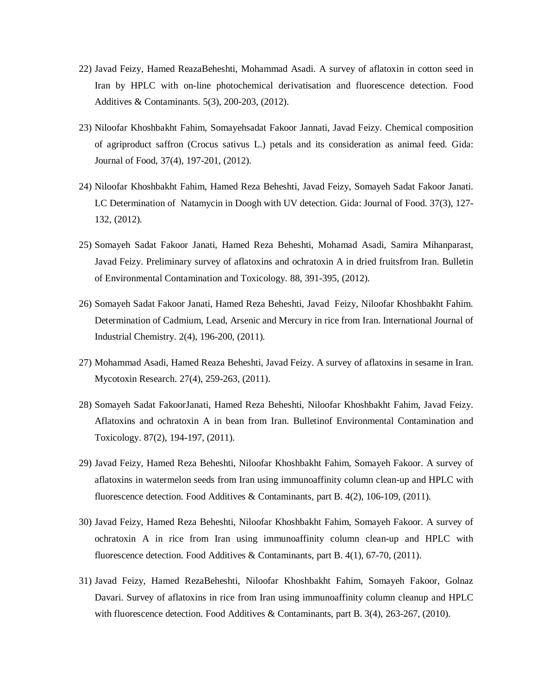- 22) Javad Feizy, Hamed ReazaBeheshti, Mohammad Asadi. A survey of aflatoxin in cotton seed in Iran by HPLC with on-line photochemical derivatisation and fluorescence detection. Food Additives & Contaminants. 5(3), 200-203, (2012).
- 23) Niloofar Khoshbakht Fahim, Somayehsadat Fakoor Jannati, Javad Feizy. Chemical composition of agriproduct saffron (Crocus sativus L.) petals and its consideration as animal feed. Gida: Journal of Food, 37(4), 197-201, (2012).
- 24) Niloofar Khoshbakht Fahim, Hamed Reza Beheshti, Javad Feizy, Somayeh Sadat Fakoor Janati. LC Determination of Natamycin in Doogh with UV detection. Gida: Journal of Food. 37(3), 127- 132, (2012).
- 25) Somayeh Sadat Fakoor Janati, Hamed Reza Beheshti, Mohamad Asadi, Samira Mihanparast, Javad Feizy. Preliminary survey of aflatoxins and ochratoxin A in dried fruitsfrom Iran. Bulletin of Environmental Contamination and Toxicology. 88, 391-395, (2012).
- 26) Somayeh Sadat Fakoor Janati, Hamed Reza Beheshti, Javad Feizy, Niloofar Khoshbakht Fahim. Determination of Cadmium, Lead, Arsenic and Mercury in rice from Iran. International Journal of Industrial Chemistry. 2(4), 196-200, (2011).
- 27) Mohammad Asadi, Hamed Reaza Beheshti, Javad Feizy. A survey of aflatoxins in sesame in Iran. Mycotoxin Research. 27(4), 259-263, (2011).
- 28) Somayeh Sadat FakoorJanati, Hamed Reza Beheshti, Niloofar Khoshbakht Fahim, Javad Feizy. Aflatoxins and ochratoxin A in bean from Iran. Bulletinof Environmental Contamination and Toxicology. 87(2), 194-197, (2011).
- 29) Javad Feizy, Hamed Reza Beheshti, Niloofar Khoshbakht Fahim, Somayeh Fakoor. A survey of aflatoxins in watermelon seeds from Iran using immunoaffinity column clean-up and HPLC with fluorescence detection. Food Additives & Contaminants, part B. 4(2), 106-109, (2011).
- 30) Javad Feizy, Hamed Reza Beheshti, Niloofar Khoshbakht Fahim, Somayeh Fakoor. A survey of ochratoxin A in rice from Iran using immunoaffinity column clean-up and HPLC with fluorescence detection. Food Additives & Contaminants, part B. 4(1), 67-70, (2011).
- 31) Javad Feizy, Hamed RezaBeheshti, Niloofar Khoshbakht Fahim, Somayeh Fakoor, Golnaz Davari. Survey of aflatoxins in rice from Iran using immunoaffinity column cleanup and HPLC with fluorescence detection. Food Additives & Contaminants, part B. 3(4), 263-267, (2010).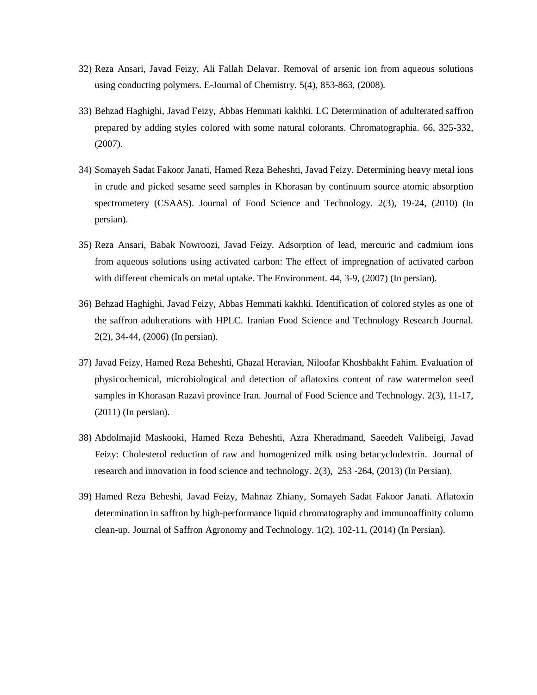- 32) Reza Ansari, Javad Feizy, Ali Fallah Delavar. Removal of arsenic ion from aqueous solutions using conducting polymers. E-Journal of Chemistry. 5(4), 853-863, (2008).
- 33) Behzad Haghighi, Javad Feizy, Abbas Hemmati kakhki. LC Determination of adulterated saffron prepared by adding styles colored with some natural colorants. Chromatographia. 66, 325-332, (2007).
- 34) Somayeh Sadat Fakoor Janati, Hamed Reza Beheshti, Javad Feizy. Determining heavy metal ions in crude and picked sesame seed samples in Khorasan by continuum source atomic absorption spectrometery (CSAAS). Journal of Food Science and Technology. 2(3), 19-24, (2010) (In persian).
- 35) Reza Ansari, Babak Nowroozi, Javad Feizy. Adsorption of lead, mercuric and cadmium ions from aqueous solutions using activated carbon: The effect of impregnation of activated carbon with different chemicals on metal uptake. The Environment. 44, 3-9, (2007) (In persian).
- 36) Behzad Haghighi, Javad Feizy, Abbas Hemmati kakhki. Identification of colored styles as one of the saffron adulterations with HPLC. Iranian Food Science and Technology Research Journal. 2(2), 34-44, (2006) (In persian).
- 37) Javad Feizy, Hamed Reza Beheshti, Ghazal Heravian, Niloofar Khoshbakht Fahim. Evaluation of physicochemical, microbiological and detection of aflatoxins content of raw watermelon seed samples in Khorasan Razavi province Iran. Journal of Food Science and Technology. 2(3), 11-17, (2011) (In persian).
- 38) Abdolmajid Maskooki, Hamed Reza Beheshti, Azra Kheradmand, Saeedeh Valibeigi, Javad Feizy: Cholesterol reduction of raw and homogenized milk using betacyclodextrin. Journal of research and innovation in food science and technology. 2(3), 253 -264, (2013) (In Persian).
- 39) Hamed Reza Beheshi, Javad Feizy, Mahnaz Zhiany, Somayeh Sadat Fakoor Janati. Aflatoxin determination in saffron by high-performance liquid chromatography and immunoaffinity column clean-up. Journal of Saffron Agronomy and Technology. 1(2), 102-11, (2014) (In Persian).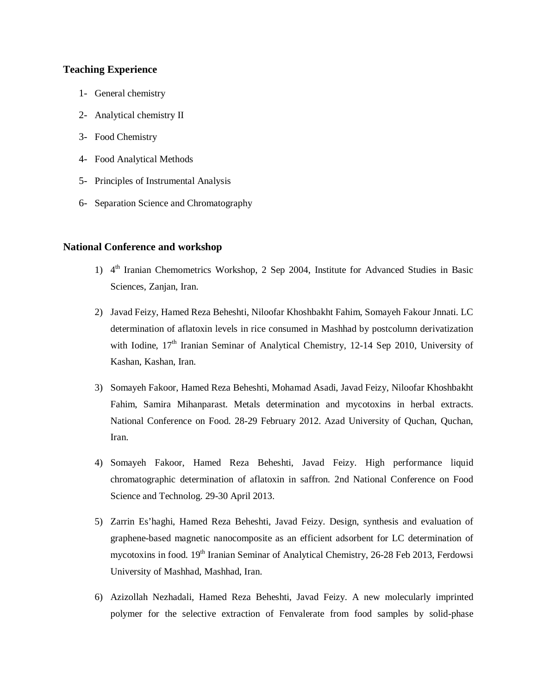## **Teaching Experience**

- 1- General chemistry
- 2- Analytical chemistry II
- 3- Food Chemistry
- 4- Food Analytical Methods
- 5- Principles of Instrumental Analysis
- 6- Separation Science and Chromatography

### **National Conference and workshop**

- 1) 4<sup>th</sup> Iranian Chemometrics Workshop, 2 Sep 2004, Institute for Advanced Studies in Basic Sciences, Zanjan, Iran.
- 2) Javad Feizy, Hamed Reza Beheshti, Niloofar Khoshbakht Fahim, Somayeh Fakour Jnnati. LC determination of aflatoxin levels in rice consumed in Mashhad by postcolumn derivatization with Iodine,  $17<sup>th</sup>$  Iranian Seminar of Analytical Chemistry, 12-14 Sep 2010, University of Kashan, Kashan, Iran.
- 3) Somayeh Fakoor, Hamed Reza Beheshti, Mohamad Asadi, Javad Feizy, Niloofar Khoshbakht Fahim, Samira Mihanparast. Metals determination and mycotoxins in herbal extracts. National Conference on Food. 28-29 February 2012. Azad University of Quchan, Quchan, Iran.
- 4) Somayeh Fakoor, Hamed Reza Beheshti, Javad Feizy. High performance liquid chromatographic determination of aflatoxin in saffron. 2nd National Conference on Food Science and Technolog. 29-30 April 2013.
- 5) Zarrin Es'haghi, Hamed Reza Beheshti, Javad Feizy. Design, synthesis and evaluation of graphene-based magnetic nanocomposite as an efficient adsorbent for LC determination of mycotoxins in food. 19<sup>th</sup> Iranian Seminar of Analytical Chemistry, 26-28 Feb 2013, Ferdowsi University of Mashhad, Mashhad, Iran.
- 6) Azizollah Nezhadali, Hamed Reza Beheshti, Javad Feizy. A new molecularly imprinted polymer for the selective extraction of Fenvalerate from food samples by solid-phase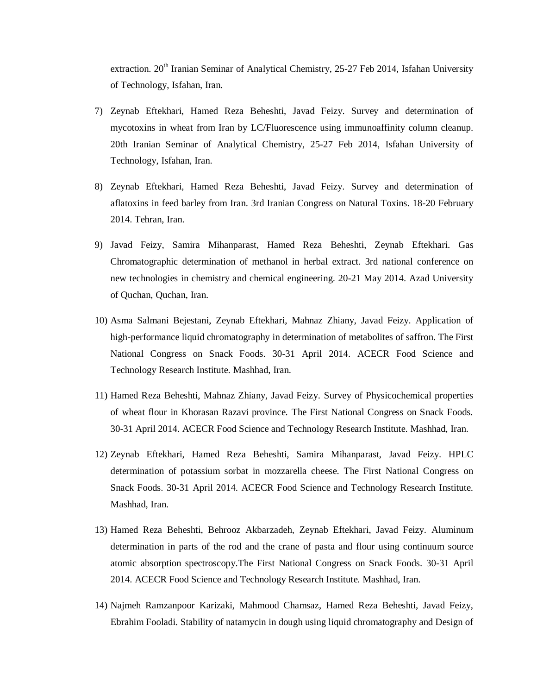extraction. 20<sup>th</sup> Iranian Seminar of Analytical Chemistry, 25-27 Feb 2014, Isfahan University of Technology, Isfahan, Iran.

- 7) Zeynab Eftekhari, Hamed Reza Beheshti, Javad Feizy. Survey and determination of mycotoxins in wheat from Iran by LC/Fluorescence using immunoaffinity column cleanup. 20th Iranian Seminar of Analytical Chemistry, 25-27 Feb 2014, Isfahan University of Technology, Isfahan, Iran.
- 8) Zeynab Eftekhari, Hamed Reza Beheshti, Javad Feizy. Survey and determination of aflatoxins in feed barley from Iran. 3rd Iranian Congress on Natural Toxins. 18-20 February 2014. Tehran, Iran.
- 9) Javad Feizy, Samira Mihanparast, Hamed Reza Beheshti, Zeynab Eftekhari. Gas Chromatographic determination of methanol in herbal extract. 3rd national conference on new technologies in chemistry and chemical engineering. 20-21 May 2014. Azad University of Quchan, Quchan, Iran.
- 10) Asma Salmani Bejestani, Zeynab Eftekhari, Mahnaz Zhiany, Javad Feizy. Application of high-performance liquid chromatography in determination of metabolites of saffron. The First National Congress on Snack Foods. 30-31 April 2014. ACECR Food Science and Technology Research Institute. Mashhad, Iran.
- 11) Hamed Reza Beheshti, Mahnaz Zhiany, Javad Feizy. Survey of Physicochemical properties of wheat flour in Khorasan Razavi province. The First National Congress on Snack Foods. 30-31 April 2014. ACECR Food Science and Technology Research Institute. Mashhad, Iran.
- 12) Zeynab Eftekhari, Hamed Reza Beheshti, Samira Mihanparast, Javad Feizy. HPLC determination of potassium sorbat in mozzarella cheese. The First National Congress on Snack Foods. 30-31 April 2014. ACECR Food Science and Technology Research Institute. Mashhad, Iran.
- 13) Hamed Reza Beheshti, Behrooz Akbarzadeh, Zeynab Eftekhari, Javad Feizy. Aluminum determination in parts of the rod and the crane of pasta and flour using continuum source atomic absorption spectroscopy.The First National Congress on Snack Foods. 30-31 April 2014. ACECR Food Science and Technology Research Institute. Mashhad, Iran.
- 14) Najmeh Ramzanpoor Karizaki, Mahmood Chamsaz, Hamed Reza Beheshti, Javad Feizy, Ebrahim Fooladi. Stability of natamycin in dough using liquid chromatography and Design of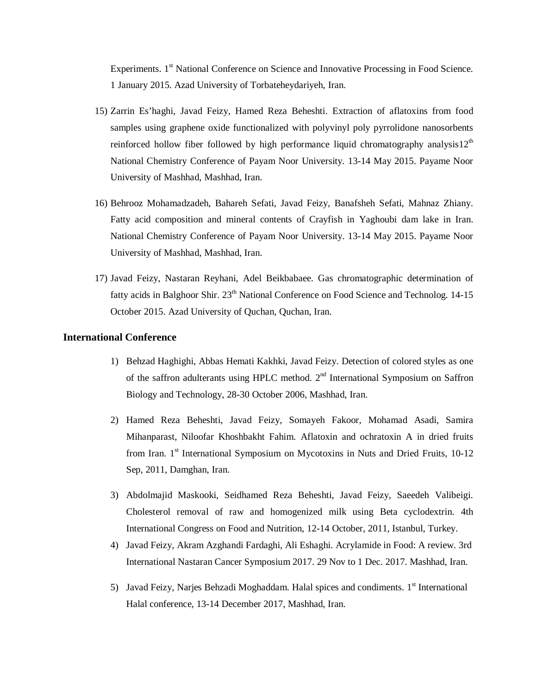Experiments. 1<sup>st</sup> National Conference on Science and Innovative Processing in Food Science. 1 January 2015. Azad University of Torbateheydariyeh, Iran.

- 15) Zarrin Es'haghi, Javad Feizy, Hamed Reza Beheshti. Extraction of aflatoxins from food samples using graphene oxide functionalized with polyvinyl poly pyrrolidone nanosorbents reinforced hollow fiber followed by high performance liquid chromatography analysis12<sup>th</sup> National Chemistry Conference of Payam Noor University. 13-14 May 2015. Payame Noor University of Mashhad, Mashhad, Iran.
- 16) Behrooz Mohamadzadeh, Bahareh Sefati, Javad Feizy, Banafsheh Sefati, Mahnaz Zhiany. Fatty acid composition and mineral contents of Crayfish in Yaghoubi dam lake in Iran. National Chemistry Conference of Payam Noor University. 13-14 May 2015. Payame Noor University of Mashhad, Mashhad, Iran.
- 17) Javad Feizy, Nastaran Reyhani, Adel Beikbabaee. Gas chromatographic determination of fatty acids in Balghoor Shir. 23<sup>th</sup> National Conference on Food Science and Technolog. 14-15 October 2015. Azad University of Quchan, Quchan, Iran.

### **International Conference**

- 1) Behzad Haghighi, Abbas Hemati Kakhki, Javad Feizy. Detection of colored styles as one of the saffron adulterants using HPLC method.  $2<sup>nd</sup>$  International Symposium on Saffron Biology and Technology, 28-30 October 2006, Mashhad, Iran.
- 2) Hamed Reza Beheshti, Javad Feizy, Somayeh Fakoor, Mohamad Asadi, Samira Mihanparast, Niloofar Khoshbakht Fahim. Aflatoxin and ochratoxin A in dried fruits from Iran. 1<sup>st</sup> International Symposium on Mycotoxins in Nuts and Dried Fruits, 10-12 Sep, 2011, Damghan, Iran.
- 3) Abdolmajid Maskooki, Seidhamed Reza Beheshti, Javad Feizy, Saeedeh Valibeigi. Cholesterol removal of raw and homogenized milk using Beta cyclodextrin. 4th International Congress on Food and Nutrition, 12-14 October, 2011, Istanbul, Turkey.
- 4) Javad Feizy, Akram Azghandi Fardaghi, Ali Eshaghi. Acrylamide in Food: A review. 3rd International Nastaran Cancer Symposium 2017. 29 Nov to 1 Dec. 2017. Mashhad, Iran.
- 5) Javad Feizy, Narjes Behzadi Moghaddam. Halal spices and condiments. 1<sup>st</sup> International Halal conference, 13-14 December 2017, Mashhad, Iran.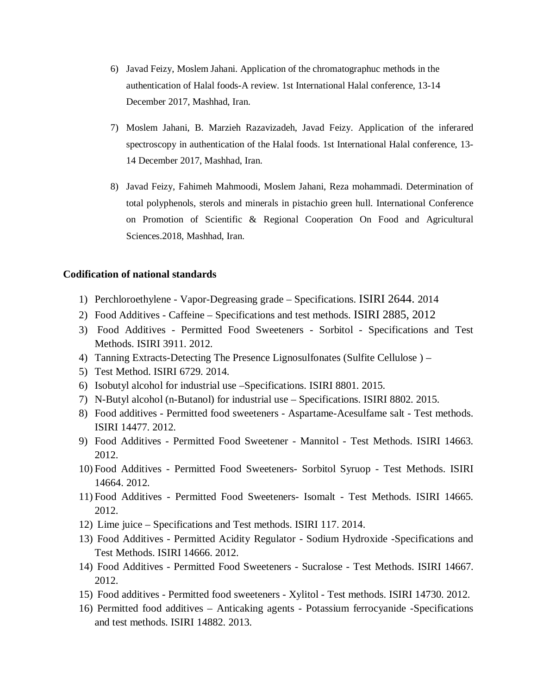- 6) Javad Feizy, Moslem Jahani. Application of the chromatographuc methods in the authentication of Halal foods-A review. 1st International Halal conference, 13-14 December 2017, Mashhad, Iran.
- 7) Moslem Jahani, B. Marzieh Razavizadeh, Javad Feizy. Application of the inferared spectroscopy in authentication of the Halal foods. 1st International Halal conference, 13- 14 December 2017, Mashhad, Iran.
- 8) Javad Feizy, Fahimeh Mahmoodi, Moslem Jahani, Reza mohammadi. Determination of total polyphenols, sterols and minerals in pistachio green hull. International Conference on Promotion of Scientific & Regional Cooperation On Food and Agricultural Sciences.2018, Mashhad, Iran.

# **Codification of national standards**

- 1) Perchloroethylene Vapor-Degreasing grade Specifications. ISIRI 2644. 2014
- 2) Food Additives Caffeine Specifications and test methods. ISIRI 2885, 2012
- 3) Food Additives Permitted Food Sweeteners Sorbitol Specifications and Test Methods. ISIRI 3911. 2012.
- 4) Tanning Extracts-Detecting The Presence Lignosulfonates (Sulfite Cellulose ) –
- 5) Test Method. ISIRI 6729. 2014.
- 6) Isobutyl alcohol for industrial use –Specifications. ISIRI 8801. 2015.
- 7) N-Butyl alcohol (n-Butanol) for industrial use Specifications. ISIRI 8802. 2015.
- 8) Food additives Permitted food sweeteners Aspartame-Acesulfame salt Test methods. ISIRI 14477. 2012.
- 9) Food Additives Permitted Food Sweetener Mannitol Test Methods. ISIRI 14663. 2012.
- 10) Food Additives Permitted Food Sweeteners- Sorbitol Syruop Test Methods. ISIRI 14664. 2012.
- 11) Food Additives Permitted Food Sweeteners- Isomalt Test Methods. ISIRI 14665. 2012.
- 12) Lime juice Specifications and Test methods. ISIRI 117. 2014.
- 13) Food Additives Permitted Acidity Regulator Sodium Hydroxide -Specifications and Test Methods. ISIRI 14666. 2012.
- 14) Food Additives Permitted Food Sweeteners Sucralose Test Methods. ISIRI 14667. 2012.
- 15) Food additives Permitted food sweeteners Xylitol Test methods. ISIRI 14730. 2012.
- 16) Permitted food additives Anticaking agents Potassium ferrocyanide -Specifications and test methods. ISIRI 14882. 2013.